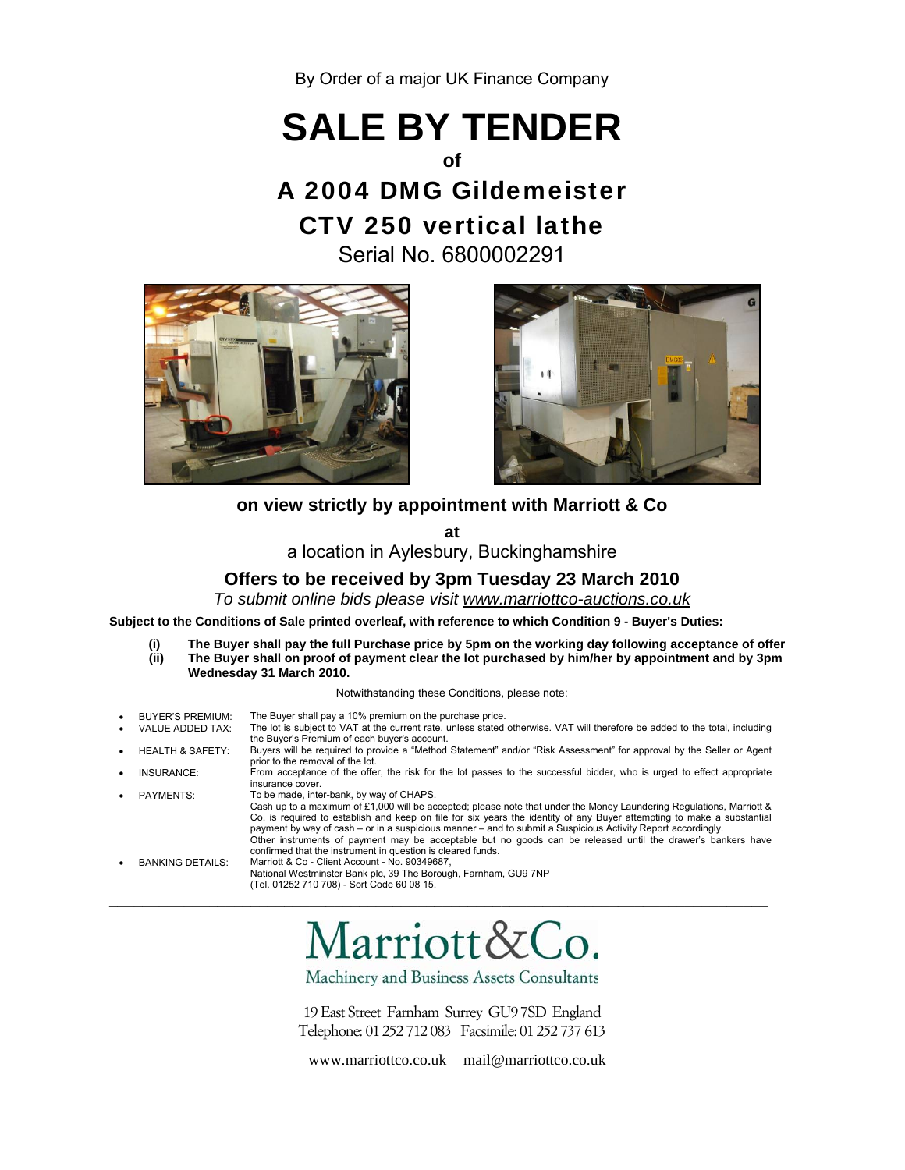By Order of a major UK Finance Company

# **SALE BY TENDER**

### **of**

## A 2004 DMG Gildemeister CTV 250 vertical lathe

Serial No. 6800002291





### **on view strictly by appointment with Marriott & Co**

**at** 

a location in Aylesbury, Buckinghamshire

### **Offers to be received by 3pm Tuesday 23 March 2010**

*To submit online bids please visit www.marriottco-auctions.co.uk*

**Subject to the Conditions of Sale printed overleaf, with reference to which Condition 9 - Buyer's Duties:** 

 **(i) The Buyer shall pay the full Purchase price by 5pm on the working day following acceptance of offer (ii) The Buyer shall on proof of payment clear the lot purchased by him/her by appointment and by 3pm Wednesday 31 March 2010.** 

Notwithstanding these Conditions, please note:

| $\bullet$ | <b>BUYER'S PREMIUM:</b>     | The Buyer shall pay a 10% premium on the purchase price.                                                                                                                                                                                                                                                                                                                                                                                                                                                                                     |
|-----------|-----------------------------|----------------------------------------------------------------------------------------------------------------------------------------------------------------------------------------------------------------------------------------------------------------------------------------------------------------------------------------------------------------------------------------------------------------------------------------------------------------------------------------------------------------------------------------------|
| $\bullet$ | VALUE ADDED TAX:            | The lot is subject to VAT at the current rate, unless stated otherwise. VAT will therefore be added to the total, including<br>the Buyer's Premium of each buyer's account.                                                                                                                                                                                                                                                                                                                                                                  |
| $\bullet$ | <b>HEALTH &amp; SAFETY:</b> | Buyers will be required to provide a "Method Statement" and/or "Risk Assessment" for approval by the Seller or Agent<br>prior to the removal of the lot.                                                                                                                                                                                                                                                                                                                                                                                     |
| $\bullet$ | INSURANCE:                  | From acceptance of the offer, the risk for the lot passes to the successful bidder, who is urged to effect appropriate<br>insurance cover.                                                                                                                                                                                                                                                                                                                                                                                                   |
| $\bullet$ | <b>PAYMENTS:</b>            | To be made, inter-bank, by way of CHAPS.                                                                                                                                                                                                                                                                                                                                                                                                                                                                                                     |
|           |                             | Cash up to a maximum of £1,000 will be accepted; please note that under the Money Laundering Regulations, Marriott &<br>Co. is required to establish and keep on file for six years the identity of any Buyer attempting to make a substantial<br>payment by way of cash – or in a suspicious manner – and to submit a Suspicious Activity Report accordingly.<br>Other instruments of payment may be acceptable but no goods can be released until the drawer's bankers have<br>confirmed that the instrument in question is cleared funds. |
| ٠         | <b>BANKING DETAILS:</b>     | Marriott & Co - Client Account - No. 90349687.                                                                                                                                                                                                                                                                                                                                                                                                                                                                                               |
|           |                             | National Westminster Bank plc, 39 The Borough, Farnham, GU9 7NP<br>(Tel. 01252 710 708) - Sort Code 60 08 15.                                                                                                                                                                                                                                                                                                                                                                                                                                |
|           |                             |                                                                                                                                                                                                                                                                                                                                                                                                                                                                                                                                              |

Marriott&Co.

\_\_\_\_\_\_\_\_\_\_\_\_\_\_\_\_\_\_\_\_\_\_\_\_\_\_\_\_\_\_\_\_\_\_\_\_\_\_\_\_\_\_\_\_\_\_\_\_\_\_\_\_\_\_\_\_\_\_\_\_\_\_\_\_\_\_\_\_\_\_\_\_\_\_\_\_\_\_\_

Machinery and Business Assets Consultants

19 East Street Farnham Surrey GU97SD England Telephone: 01 252 712 083 Facsimile: 01 252 737 613

www.marriottco.co.uk mail@marriottco.co.uk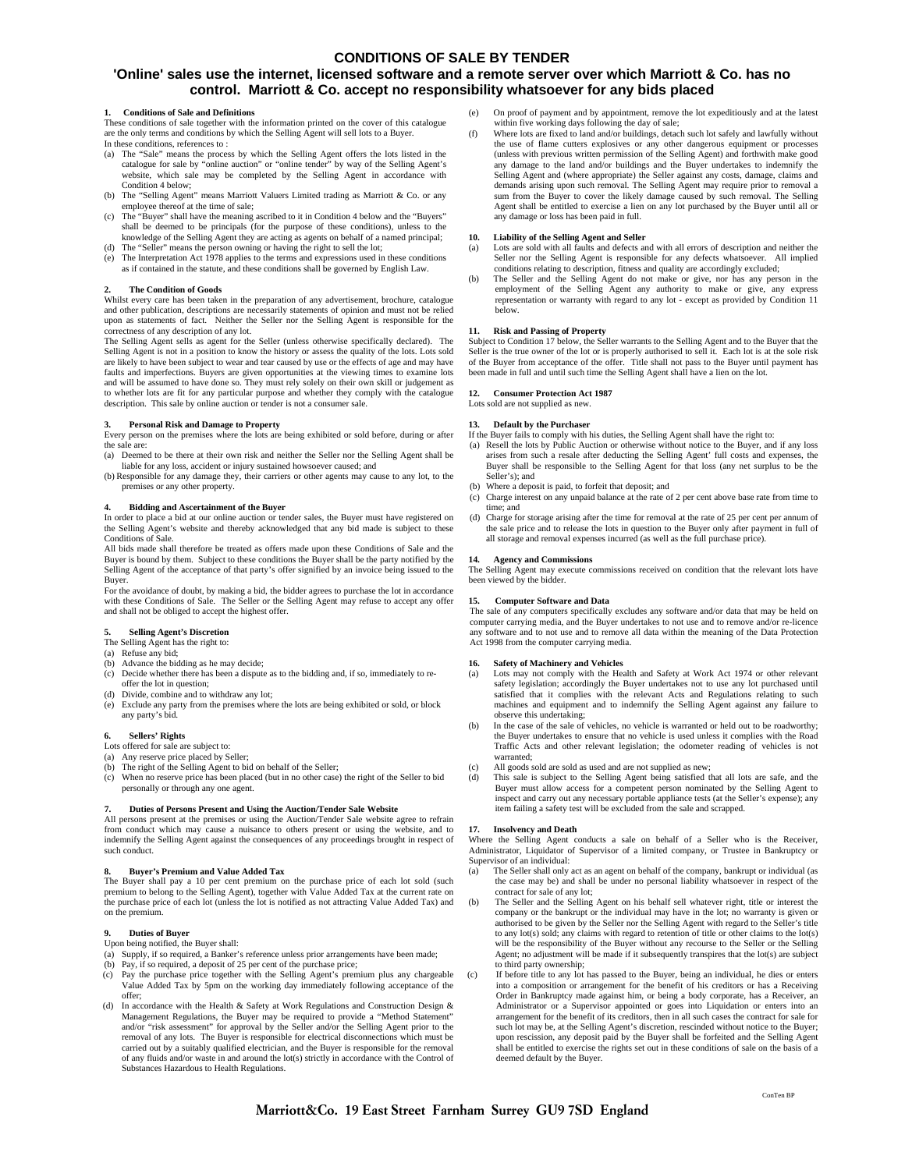#### **CONDITIONS OF SALE BY TENDER**

#### **'Online' sales use the internet, licensed software and a remote server over which Marriott & Co. has no control. Marriott & Co. accept no responsibility whatsoever for any bids placed**

#### **1. Conditions of Sale and Definitions**

These conditions of sale together with the information printed on the cover of this catalogue are the only terms and conditions by which the Selling Agent will sell lots to a Buyer. In these conditions, references to :

- (a) The "Sale" means the process by which the Selling Agent offers the lots listed in the catalogue for sale by "online auction" or "online tender" by way of the Selling Agent's website, which sale may be completed by the Selling Agent in accordance with Condition 4 below:
- (b) The "Selling Agent" means Marriott Valuers Limited trading as Marriott & Co. or any employee thereof at the time of sale;
- (c) The "Buyer" shall have the meaning ascribed to it in Condition 4 below and the "Buyers" shall be deemed to be principals (for the purpose of these conditions), unless to the knowledge of the Selling Agent they are acting as agents on behalf of a named principal; (d) The "Seller" means the person owning or having the right to sell the lot;
- (e) The Interpretation Act 1978 applies to the terms and expressions used in these conditions as if contained in the statute, and these conditions shall be governed by English Law.

#### **2. The Condition of Goods**

Whilst every care has been taken in the preparation of any advertisement, brochure, catalogue and other publication, descriptions are necessarily statements of opinion and must not be relied upon as statements of fact. Neither the Seller nor the Selling Agent is responsible for the correctness of any description of any lot.

The Selling Agent sells as agent for the Seller (unless otherwise specifically declared). The Selling Agent is not in a position to know the history or assess the quality of the lots. Lots sold are likely to have been subject to wear and tear caused by use or the effects of age and may have faults and imperfections. Buyers are given opportunities at the viewing times to examine lots and will be assumed to have done so. They must rely solely on their own skill or judgement as to whether lots are fit for any particular purpose and whether they comply with the catalogue description. This sale by online auction or tender is not a consumer sale.

**3. Personal Risk and Damage to Property** Every person on the premises where the lots are being exhibited or sold before, during or after the sale are:

(a) Deemed to be there at their own risk and neither the Seller nor the Selling Agent shall be liable for any loss, accident or injury sustained howsoever caused; and

(b) Responsible for any damage they, their carriers or other agents may cause to any lot, to the premises or any other property.

#### **4. Bidding and Ascertainment of the Buyer**

In order to place a bid at our online auction or tender sales, the Buyer must have registered on the Selling Agent's website and thereby acknowledged that any bid made is subject to these Conditions of Sale.

All bids made shall therefore be treated as offers made upon these Conditions of Sale and the Buyer is bound by them. Subject to these conditions the Buyer shall be the party notified by the Selling Agent of the acceptance of that party's offer signified by an invoice being issued to the Buyer.

For the avoidance of doubt, by making a bid, the bidder agrees to purchase the lot in accordance with these Conditions of Sale. The Seller or the Selling Agent may refuse to accept any offer and shall not be obliged to accept the highest offer.

#### **5. Selling Agent's Discretion**

The Selling Agent has the right to:

- (a) Refuse any bid; Advance the bidding as he may decide;
- (c) Decide whether there has been a dispute as to the bidding and, if so, immediately to reoffer the lot in question;
- (d) Divide, combine and to withdraw any lot;
- (e) Exclude any party from the premises where the lots are being exhibited or sold, or block any party's bid.

#### **6. Sellers' Rights**

#### Lots offered for sale are subject to:

- (a) Any reserve price placed by Seller; (b) The right of the Selling Agent to bid on behalf of the Seller;
- (c) When no reserve price has been placed (but in no other case) the right of the Seller to bid personally or through any one agent.

#### **7. Duties of Persons Present and Using the Auction/Tender Sale Website**

All persons present at the premises or using the Auction/Tender Sale website agree to refrain All persons present at the premises or using the Auction/Tender Sale website agree to refrain from conduct which may cause a nuisance to others present or using the website, and to indemnify the Selling Agent against the consequences of any proceedings brought in respect of such conduct.

#### **8. Buyer's Premium and Value Added Tax**

The Buyer shall pay a 10 per cent premium on the purchase price of each lot sold (such premium to belong to the Selling Agent), together with Value Added Tax at the current rate on the purchase price of each lot (unless the lot is notified as not attracting Value Added Tax) and on the premium.

#### **9. Duties of Buyer**

- Upon being notified, the Buyer shall:
- (a) Supply, if so required, a Banker's reference unless prior arrangements have been made;
- (b) Pay, if so required, a deposit of 25 per cent of the purchase price;
- (c) Pay the purchase price together with the Selling Agent's premium plus any chargeable Value Added Tax by 5pm on the working day immediately following acceptance of the offer;
- (d) In accordance with the Health & Safety at Work Regulations and Construction Design & Management Regulations, the Buyer may be required to provide a "Method Statem and/or "risk assessment" for approval by the Seller and/or the Selling Agent prior to the removal of any lots. The Buyer is responsible for electrical disconnections which must be carried out by a suitably qualified electrician, and the Buyer is responsible for the removal of any fluids and/or waste in and around the lot(s) strictly in accordance with the Control of<br>Substances Hazardous to Health Regulations ances Hazardous to Health Regulation
- On proof of payment and by appointment, remove the lot expeditiously and at the latest within five working days following the day of sale;<br>
(f) Where lots are fixed to land and/or buildings, detach such lot safely and lawfully without
- the use of flame cutters explosives or any other dangerous equipment or processes (unless with previous written permission of the Selling Agent) and forthwith make good any damage to the land and/or buildings and the Buyer undertakes to indemnify the Selling Agent and (where appropriate) the Seller against any costs, damage, claims and demands arising upon such removal. The Selling Agent may require prior to removal a sum from the Buyer to cover the likely damage caused by such removal. The Selling Agent shall be entitled to exercise a lien on any lot purchased by the Buyer until all or any damage or loss has been paid in full.

#### **10. Liability of the Selling Agent and Seller**

- (a) Lots are sold with all faults and defects and with all errors of description and neither the Seller nor the Selling Agent is responsible for any defects whatsoever. All implied conditions relating to description, fitness and quality are accordingly excluded;
- (b) The Seller and the Selling Agent do not make or give, nor has any person in the employment of the Selling Agent any authority to make or give, any express representation or warranty with regard to any lot - except as provided by Condition 11 below.

11. Risk and Passing of Property<br>Subject to Condition 17 below, the Seller warrants to the Selling Agent and to the Buyer that the<br>Seller is the true owner of the lot or is properly authorised to sell it. Each lot is at th of the Buyer from acceptance of the offer. Title shall not pass to the Buyer until payment has been made in full and until such time the Selling Agent shall have a lien on the lot.

#### **12. Consumer Protection Act 1987**

Lots sold are not supplied as new

#### **13. Default by the Purchaser**

If the Buyer fails to comply with his duties, the Selling Agent shall have the right to:

- (a) Resell the lots by Public Auction or otherwise without notice to the Buyer, and if any loss arises from such a resale after deducting the Selling Agent' full costs and expenses, the Buyer shall be responsible to the Selling Agent for that loss (any net surplus to be the Seller's); and
- Where a deposit is paid, to forfeit that deposit; and
- (c) Charge interest on any unpaid balance at the rate of 2 per cent above base rate from time to time; and
- (d) Charge for storage arising after the time for removal at the rate of 25 per cent per annum of the sale price and to release the lots in question to the Buyer only after payment in full of all storage and removal expenses incurred (as well as the full purchase price).

#### **14. Agency and Commissions**

The Selling Agent may execute commissions received on condition that the relevant lots have been viewed by the bidder.

#### **15. Computer Software and Data**

The sale of any computers specifically excludes any software and/or data that may be held on computer carrying media, and the Buyer undertakes to not use and to remove and/or re-licence any software and to not use and to remove all data within the meaning of the Data Protection Act 1998 from the computer carrying media.

#### **16. Safety of Machinery and Vehicles**

- Lots may not comply with the Health and Safety at Work Act 1974 or other relevant safety legislation; accordingly the Buyer undertakes not to use any lot purchased until satisfied that it complies with the relevant Acts and Regulations relating to such machines and equipment and to indemnify the Selling Agent against any failure to observe this undertaking;
- (b) In the case of the sale of vehicles, no vehicle is warranted or held out to be roadworthy; the Buyer undertakes to ensure that no vehicle is used unless it complies with the Road Traffic Acts and other relevant legislation; the odometer reading of vehicles is not warranted;
- (c) All goods sold are sold as used and are not supplied as new;
- (d) This sale is subject to the Selling Agent being satisfied that all lots are safe, and the Buyer must allow access for a competent person nominated by the Selling Agent to inspect and carry out any necessary portable appliance tests (at the Seller's expense); any item failing a safety test will be excluded from the sale and scrapped.

#### **Insolvency and Death**

Where the Selling Agent conducts a sale on behalf of a Seller who is the Receiver, Administrator, Liquidator of Supervisor of a limited company, or Trustee in Bankruptcy or Supervisor of an individual:

- (a) The Seller shall only act as an agent on behalf of the company, bankrupt or individual (as the case may be) and shall be under no personal liability whatsoever in respect of the contract for sale of any lot;
- (b) The Seller and the Selling Agent on his behalf sell whatever right, title or interest the company or the bankrupt or the individual may have in the lot; no warranty is given or authorised to be given by the Seller nor the Selling Agent with regard to the Seller's title to any lot(s) sold; any claims with regard to retention of title or other claims to the lot(s) will be the responsibility of the Buyer without any recourse to the Seller or the Selling Agent; no adjustment will be made if it subsequently transpires that the lot(s) are subject to third party ownership;
- (c) If before title to any lot has passed to the Buyer, being an individual, he dies or enters into a composition or arrangement for the benefit of his creditors or has a Receiving Order in Bankruptcy made against him, or being a body corporate, has a Receiver, an Administrator or a Supervisor appointed or goes into Liquidation or enters into an arrangement for the benefit of its creditors, then in all such cases the contract for sale for such lot may be, at the Selling Agent's discretion, rescinded without notice to the Buyer; upon rescission, any deposit paid by the Buyer shall be forfeited and the Selling Agent shall be entitled to exercise the rights set out in these conditions of sale on the basis of a deemed default by the Buyer.